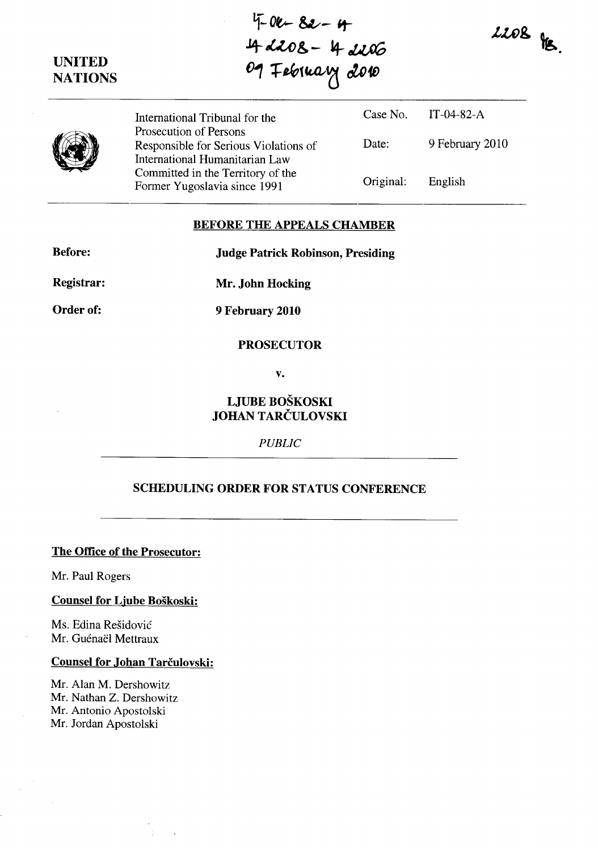# **UNITED NATIONS**

 $4 - 0$ k - 8e - 4  $4-4208-42206$ **()1** +~((dJ,~ *tlo4JJ* 

 $2208$ 

|  | International Tribunal for the<br>Prosecution of Persons<br>Responsible for Serious Violations of<br>International Humanitarian Law<br>Committed in the Territory of the<br>Former Yugoslavia since 1991 |
|--|----------------------------------------------------------------------------------------------------------------------------------------------------------------------------------------------------------|
|--|----------------------------------------------------------------------------------------------------------------------------------------------------------------------------------------------------------|

| he                 |           | Case No. IT-04-82-A |
|--------------------|-----------|---------------------|
| olations of<br>Law | Date:     | 9 February 2010     |
| of the<br>991      | Original: | English             |

### **BEFORE THE APPEALS CHAMBER**

**Before:** 

**Judge Patrick Robinson, Presiding** 

**Registrar:** 

**Mr. John Hocking** 

**Order of:** 

**9 February 2010** 

#### **PROSECUTOR**

**v.** 

## **LJUBE BOSKOSKI JOHAN TARCULOVSKI**

*PUBLIC* 

## **SCHEDULING ORDER FOR STATUS CONFERENCE**

### **The Office of the Prosecutor:**

Mr. Paul Rogers

### **Counsel for Ljube Boskoski:**

Ms. Edina Residovic Mr. Guénaël Mettraux

### **Counsel for Johan Tarčulovski:**

Mr. Alan M. Dershowitz Mr. Nathan Z. Dershowitz Mr. Antonio Apostolski Mr. Jordan Apostolski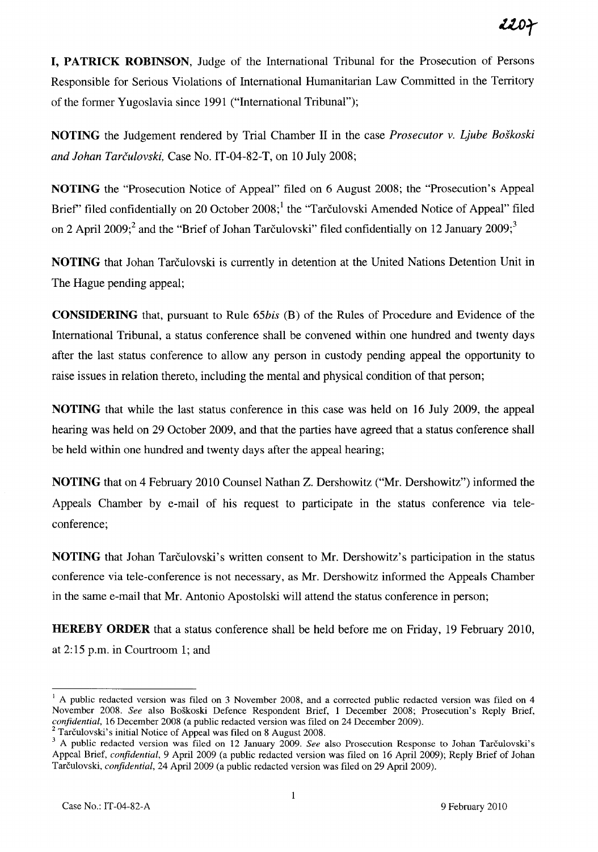**I, PATRICK ROBINSON,** Judge of the International Tribunal for the Prosecution of Persons Responsible for Serious Violations of International Humanitarian Law Committed in the Territory of the former Yugoslavia since 1991 ("International Tribunal");

**NOTING** the Judgement rendered by Trial Chamber 11 in the case *Prosecutor* v. *Ljube Boskoski and lohan Tarculovski,* Case No. IT -04-82-T, on 10 July 2008;

**NOTING** the "Prosecution Notice of Appeal" filed on 6 August 2008; the "Prosecution's Appeal Brief" filed confidentially on 20 October 2008;<sup>1</sup> the "Tarculovski Amended Notice of Appeal" filed on 2 April 2009;<sup>2</sup> and the "Brief of Johan Tarčulovski" filed confidentially on 12 January 2009;<sup>3</sup>

**NOTING** that Johan Tarčulovski is currently in detention at the United Nations Detention Unit in The Hague pending appeal;

**CONSIDERING** that, pursuant to Rule 65*bis* (B) of the Rules of Procedure and Evidence of the International Tribunal, a status conference shall be convened within one hundred and twenty days after the last status conference to allow any person in custody pending appeal the opportunity to raise issues in relation thereto, including the mental and physical condition of that person;

**NOTING** that while the last status conference in this case was held on 16 July 2009, the appeal hearing was held on 29 October 2009, and that the parties have agreed that a status conference shall be held within one hundred and twenty days after the appeal hearing;

**NOTING** that on 4 February 2010 Counsel Nathan Z. Dershowitz ("Mr. Dershowitz") informed the Appeals Chamber by e-mail of his request to participate in the status conference via teleconference;

**NOTING** that Johan Tarculovski's written consent to Mr. Dershowitz's participation in the status conference via tele-conference is not necessary, as Mr. Dershowitz informed the Appeals Chamber in the same e-mail that Mr. Antonio Apostolski will attend the status conference in person;

**HEREBY ORDER** that a status conference shall be held before me on Friday, 19 February 2010, at 2: 15 p.m. in Courtroom 1; and

<sup>&</sup>lt;sup>1</sup> A public redacted version was filed on 3 November 2008, and a corrected public redacted version was filed on 4 November 2008. *See* also Boskoski Defence Respondent Brief, 1 December 2008; Prosecution's Reply Brief, *confidential,* 16 December 2008 (a public redacted version was filed on 24 December 2009).

<sup>&</sup>lt;sup>2</sup> Tarčulovski's initial Notice of Appeal was filed on 8 August 2008.

<sup>3</sup> A public redacted version was filed on 12 January 2009. *See* also Prosecution Response to Johan Tarculovski's Appeal Brief, *confidential,* 9 April 2009 (a public redacted version was filed on 16 April 2009); Reply Brief of lohan Tarculovski, *confidential,* 24 April 2009 (a public redacted version was filed on 29 April 2009).